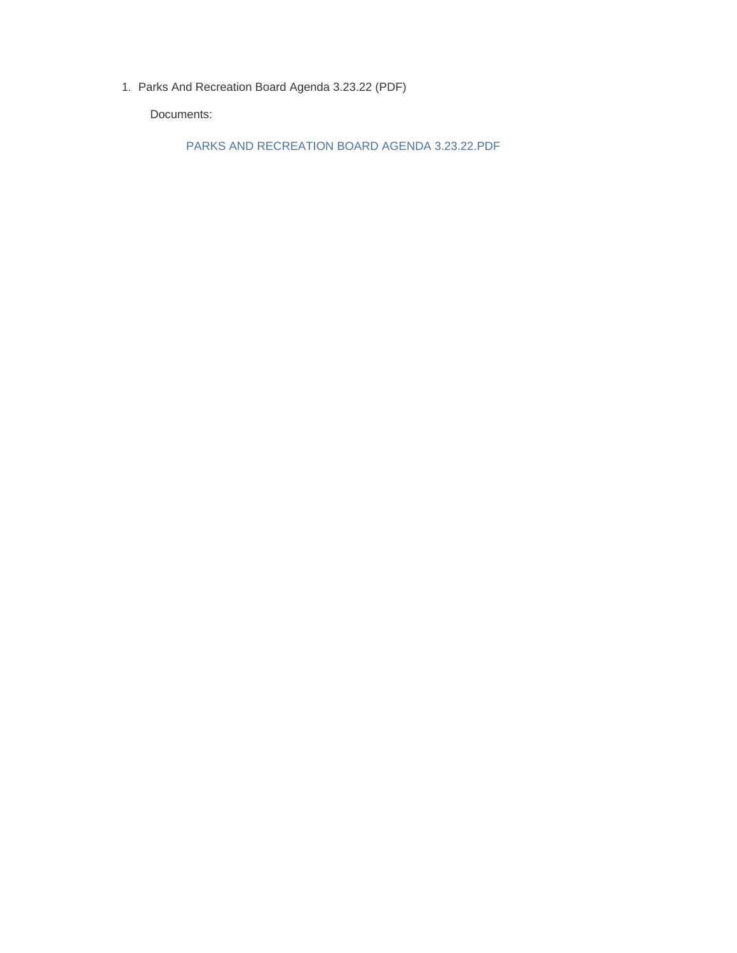1. Parks And Recreation Board Agenda 3.23.22 (PDF)

Documents:

PARKS AND RECREATION BOARD AGENDA 3.23.22.PDF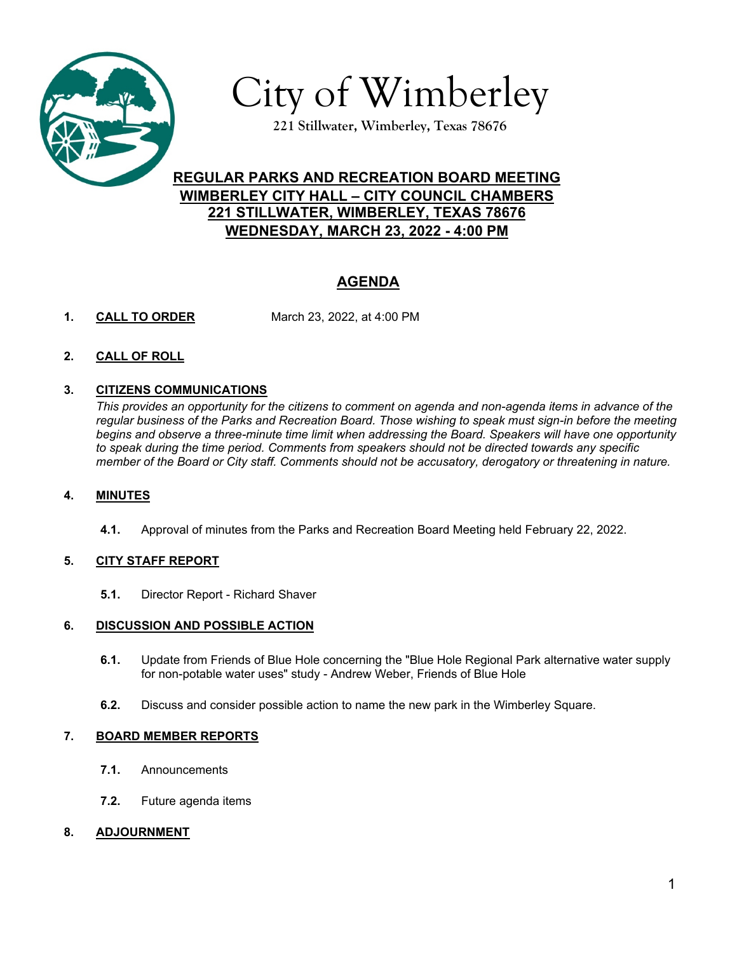

City of Wimberley

**221 Stillwater, Wimberley, Texas 78676**

## **REGULAR PARKS AND RECREATION BOARD MEETING WIMBERLEY CITY HALL – CITY COUNCIL CHAMBERS 221 STILLWATER, WIMBERLEY, TEXAS 78676 WEDNESDAY, MARCH 23, 2022 - 4:00 PM**

# **AGENDA**

- **1. CALL TO ORDER** March 23, 2022, at 4:00 PM
- **2. CALL OF ROLL**

### **3. CITIZENS COMMUNICATIONS**

*This provides an opportunity for the citizens to comment on agenda and non-agenda items in advance of the regular business of the Parks and Recreation Board. Those wishing to speak must sign-in before the meeting begins and observe a three-minute time limit when addressing the Board. Speakers will have one opportunity to speak during the time period. Comments from speakers should not be directed towards any specific member of the Board or City staff. Comments should not be accusatory, derogatory or threatening in nature.*

### **4. MINUTES**

**4.1.** Approval of minutes from the Parks and Recreation Board Meeting held February 22, 2022.

### **5. CITY STAFF REPORT**

**5.1.** Director Report - Richard Shaver

### **6. DISCUSSION AND POSSIBLE ACTION**

- **6.1.** Update from Friends of Blue Hole concerning the "Blue Hole Regional Park alternative water supply for non-potable water uses" study - Andrew Weber, Friends of Blue Hole
- **6.2.** Discuss and consider possible action to name the new park in the Wimberley Square.

### **7. BOARD MEMBER REPORTS**

- **7.1.** Announcements
- **7.2.** Future agenda items
- **8. ADJOURNMENT**